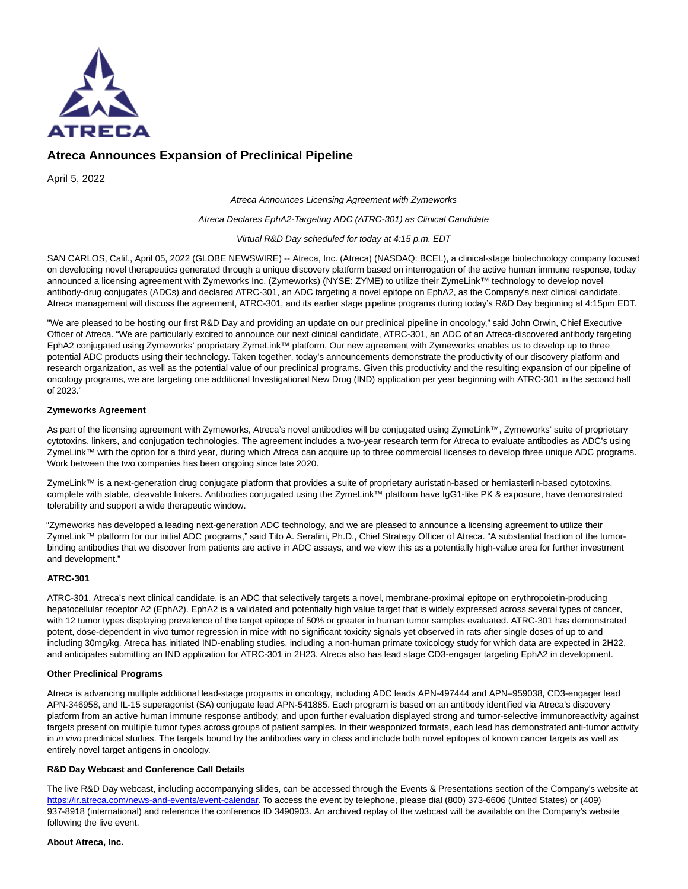

# **Atreca Announces Expansion of Preclinical Pipeline**

April 5, 2022

Atreca Announces Licensing Agreement with Zymeworks

#### Atreca Declares EphA2-Targeting ADC (ATRC-301) as Clinical Candidate

Virtual R&D Day scheduled for today at 4:15 p.m. EDT

SAN CARLOS, Calif., April 05, 2022 (GLOBE NEWSWIRE) -- Atreca, Inc. (Atreca) (NASDAQ: BCEL), a clinical-stage biotechnology company focused on developing novel therapeutics generated through a unique discovery platform based on interrogation of the active human immune response, today announced a licensing agreement with Zymeworks Inc. (Zymeworks) (NYSE: ZYME) to utilize their ZymeLink™ technology to develop novel antibody-drug conjugates (ADCs) and declared ATRC-301, an ADC targeting a novel epitope on EphA2, as the Company's next clinical candidate. Atreca management will discuss the agreement, ATRC-301, and its earlier stage pipeline programs during today's R&D Day beginning at 4:15pm EDT.

"We are pleased to be hosting our first R&D Day and providing an update on our preclinical pipeline in oncology," said John Orwin, Chief Executive Officer of Atreca. "We are particularly excited to announce our next clinical candidate, ATRC-301, an ADC of an Atreca-discovered antibody targeting EphA2 conjugated using Zymeworks' proprietary ZymeLink™ platform. Our new agreement with Zymeworks enables us to develop up to three potential ADC products using their technology. Taken together, today's announcements demonstrate the productivity of our discovery platform and research organization, as well as the potential value of our preclinical programs. Given this productivity and the resulting expansion of our pipeline of oncology programs, we are targeting one additional Investigational New Drug (IND) application per year beginning with ATRC-301 in the second half of 2023."

### **Zymeworks Agreement**

As part of the licensing agreement with Zymeworks, Atreca's novel antibodies will be conjugated using ZymeLink™, Zymeworks' suite of proprietary cytotoxins, linkers, and conjugation technologies. The agreement includes a two-year research term for Atreca to evaluate antibodies as ADC's using ZymeLink™ with the option for a third year, during which Atreca can acquire up to three commercial licenses to develop three unique ADC programs. Work between the two companies has been ongoing since late 2020.

ZymeLink™ is a next-generation drug conjugate platform that provides a suite of proprietary auristatin-based or hemiasterlin-based cytotoxins, complete with stable, cleavable linkers. Antibodies conjugated using the ZymeLink™ platform have IgG1-like PK & exposure, have demonstrated tolerability and support a wide therapeutic window.

"Zymeworks has developed a leading next-generation ADC technology, and we are pleased to announce a licensing agreement to utilize their ZymeLink™ platform for our initial ADC programs," said Tito A. Serafini, Ph.D., Chief Strategy Officer of Atreca. "A substantial fraction of the tumorbinding antibodies that we discover from patients are active in ADC assays, and we view this as a potentially high-value area for further investment and development."

## **ATRC-301**

ATRC-301, Atreca's next clinical candidate, is an ADC that selectively targets a novel, membrane-proximal epitope on erythropoietin-producing hepatocellular receptor A2 (EphA2). EphA2 is a validated and potentially high value target that is widely expressed across several types of cancer, with 12 tumor types displaying prevalence of the target epitope of 50% or greater in human tumor samples evaluated. ATRC-301 has demonstrated potent, dose-dependent in vivo tumor regression in mice with no significant toxicity signals yet observed in rats after single doses of up to and including 30mg/kg. Atreca has initiated IND-enabling studies, including a non-human primate toxicology study for which data are expected in 2H22, and anticipates submitting an IND application for ATRC-301 in 2H23. Atreca also has lead stage CD3-engager targeting EphA2 in development.

### **Other Preclinical Programs**

Atreca is advancing multiple additional lead-stage programs in oncology, including ADC leads APN-497444 and APN–959038, CD3-engager lead APN-346958, and IL-15 superagonist (SA) conjugate lead APN-541885. Each program is based on an antibody identified via Atreca's discovery platform from an active human immune response antibody, and upon further evaluation displayed strong and tumor-selective immunoreactivity against targets present on multiple tumor types across groups of patient samples. In their weaponized formats, each lead has demonstrated anti-tumor activity in in vivo preclinical studies. The targets bound by the antibodies vary in class and include both novel epitopes of known cancer targets as well as entirely novel target antigens in oncology.

### **R&D Day Webcast and Conference Call Details**

The live R&D Day webcast, including accompanying slides, can be accessed through the Events & Presentations section of the Company's website at [https://ir.atreca.com/news-and-events/event-calendar.](https://www.globenewswire.com/Tracker?data=1EAKDAbQdXtrwI57y0mV0GQIMlNNTmyEGzME7AnmMd-933RVn8dqmpddkfPNyi8rKp9aqXELU1sYtE7XOXX-KFD2V65Ke0HDveyC77zKOU5oR1bn9R_8Am9r9QaOS0JPRWkjlmqz7xakODHaGFYgJI7eYh5CqAjTs99-1jnS87k=) To access the event by telephone, please dial (800) 373-6606 (United States) or (409) 937-8918 (international) and reference the conference ID 3490903. An archived replay of the webcast will be available on the Company's website following the live event.

#### **About Atreca, Inc.**